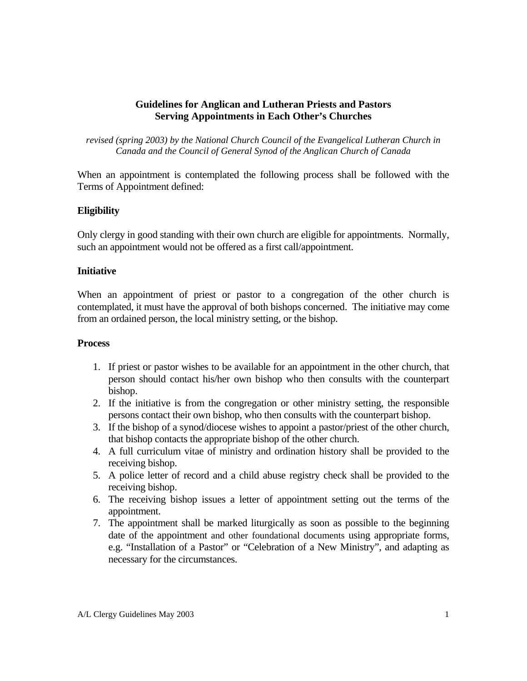### **Guidelines for Anglican and Lutheran Priests and Pastors Serving Appointments in Each Other's Churches**

*revised (spring 2003) by the National Church Council of the Evangelical Lutheran Church in Canada and the Council of General Synod of the Anglican Church of Canada* 

When an appointment is contemplated the following process shall be followed with the Terms of Appointment defined:

### **Eligibility**

Only clergy in good standing with their own church are eligible for appointments. Normally, such an appointment would not be offered as a first call/appointment.

### **Initiative**

When an appointment of priest or pastor to a congregation of the other church is contemplated, it must have the approval of both bishops concerned. The initiative may come from an ordained person, the local ministry setting, or the bishop.

### **Process**

- 1. If priest or pastor wishes to be available for an appointment in the other church, that person should contact his/her own bishop who then consults with the counterpart bishop.
- 2. If the initiative is from the congregation or other ministry setting, the responsible persons contact their own bishop, who then consults with the counterpart bishop.
- 3. If the bishop of a synod/diocese wishes to appoint a pastor/priest of the other church, that bishop contacts the appropriate bishop of the other church.
- 4. A full curriculum vitae of ministry and ordination history shall be provided to the receiving bishop.
- 5. A police letter of record and a child abuse registry check shall be provided to the receiving bishop.
- 6. The receiving bishop issues a letter of appointment setting out the terms of the appointment.
- 7. The appointment shall be marked liturgically as soon as possible to the beginning date of the appointment and other foundational documents using appropriate forms, e.g. "Installation of a Pastor" or "Celebration of a New Ministry", and adapting as necessary for the circumstances.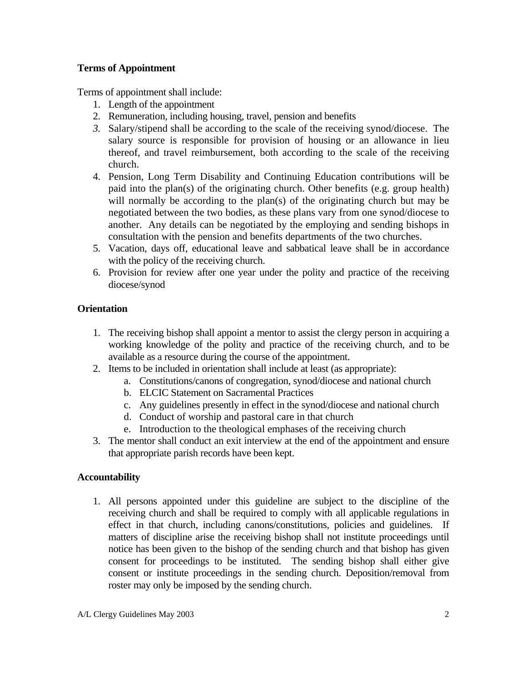## **Terms of Appointment**

Terms of appointment shall include:

- 1. Length of the appointment
- 2. Remuneration, including housing, travel, pension and benefits
- *3.* Salary/stipend shall be according to the scale of the receiving synod/diocese. The salary source is responsible for provision of housing or an allowance in lieu thereof, and travel reimbursement, both according to the scale of the receiving church.
- 4. Pension, Long Term Disability and Continuing Education contributions will be paid into the plan(s) of the originating church. Other benefits (e.g. group health) will normally be according to the plan(s) of the originating church but may be negotiated between the two bodies, as these plans vary from one synod/diocese to another. Any details can be negotiated by the employing and sending bishops in consultation with the pension and benefits departments of the two churches.
- 5. Vacation, days off, educational leave and sabbatical leave shall be in accordance with the policy of the receiving church.
- 6. Provision for review after one year under the polity and practice of the receiving diocese/synod

# **Orientation**

- 1. The receiving bishop shall appoint a mentor to assist the clergy person in acquiring a working knowledge of the polity and practice of the receiving church, and to be available as a resource during the course of the appointment.
- 2. Items to be included in orientation shall include at least (as appropriate):
	- a. Constitutions/canons of congregation, synod/diocese and national church
	- b. ELCIC Statement on Sacramental Practices
	- c. Any guidelines presently in effect in the synod/diocese and national church
	- d. Conduct of worship and pastoral care in that church
	- e. Introduction to the theological emphases of the receiving church
- 3. The mentor shall conduct an exit interview at the end of the appointment and ensure that appropriate parish records have been kept.

# **Accountability**

1. All persons appointed under this guideline are subject to the discipline of the receiving church and shall be required to comply with all applicable regulations in effect in that church, including canons/constitutions, policies and guidelines. If matters of discipline arise the receiving bishop shall not institute proceedings until notice has been given to the bishop of the sending church and that bishop has given consent for proceedings to be instituted. The sending bishop shall either give consent or institute proceedings in the sending church. Deposition/removal from roster may only be imposed by the sending church.